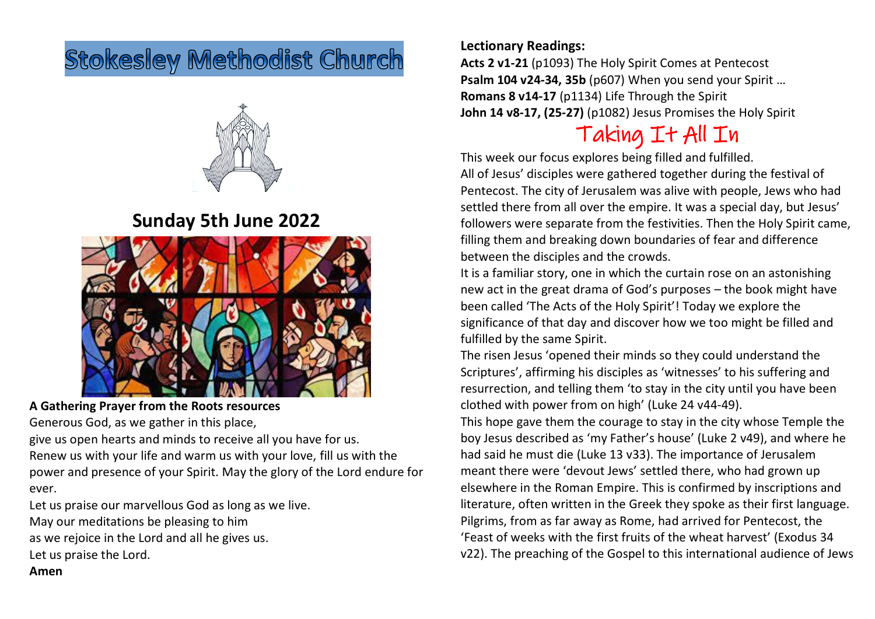# **Stokesley Methodist Church**



### **Sunday 5th June 2022**



**A Gathering Prayer from the Roots resources**

Generous God, as we gather in this place,

give us open hearts and minds to receive all you have for us. Renew us with your life and warm us with your love, fill us with the power and presence of your Spirit. May the glory of the Lord endure for ever.

Let us praise our marvellous God as long as we live. May our meditations be pleasing to him as we rejoice in the Lord and all he gives us. Let us praise the Lord.

### **Lectionary Readings:**

**Acts 2 v1-21** (p1093) The Holy Spirit Comes at Pentecost **Psalm 104 v24-34, 35b** (p607) When you send your Spirit … **Romans 8 v14-17** (p1134) Life Through the Spirit **John 14 v8-17, (25-27)** (p1082) Jesus Promises the Holy Spirit

# Taking It All In

This week our focus explores being filled and fulfilled. All of Jesus' disciples were gathered together during the festival of Pentecost. The city of Jerusalem was alive with people, Jews who had settled there from all over the empire. It was a special day, but Jesus' followers were separate from the festivities. Then the Holy Spirit came, filling them and breaking down boundaries of fear and difference between the disciples and the crowds.

It is a familiar story, one in which the curtain rose on an astonishing new act in the great drama of God's purposes – the book might have been called 'The Acts of the Holy Spirit'! Today we explore the significance of that day and discover how we too might be filled and fulfilled by the same Spirit.

The risen Jesus 'opened their minds so they could understand the Scriptures', affirming his disciples as 'witnesses' to his suffering and resurrection, and telling them 'to stay in the city until you have been clothed with power from on high' (Luke 24 v44-49).

This hope gave them the courage to stay in the city whose Temple the boy Jesus described as 'my Father's house' (Luke 2 v49), and where he had said he must die (Luke 13 v33). The importance of Jerusalem meant there were 'devout Jews' settled there, who had grown up elsewhere in the Roman Empire. This is confirmed by inscriptions and literature, often written in the Greek they spoke as their first language. Pilgrims, from as far away as Rome, had arrived for Pentecost, the 'Feast of weeks with the first fruits of the wheat harvest' (Exodus 34 v22). The preaching of the Gospel to this international audience of Jews

#### **Amen**